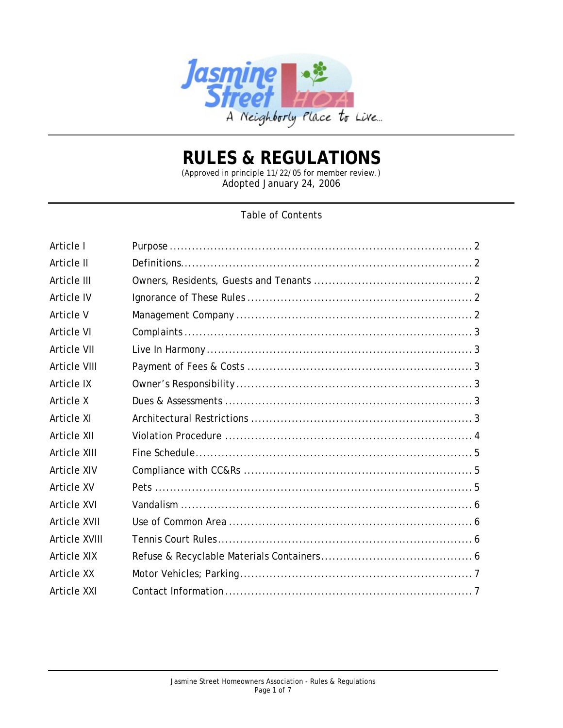

# **RULES & REGULATIONS**

(Approved in principle 11/22/05 for member review.) Adopted January 24, 2006

# Table of Contents

| Article I           |  |
|---------------------|--|
| Article II          |  |
| Article III         |  |
| Article IV          |  |
| Article V           |  |
| <b>Article VI</b>   |  |
| <b>Article VII</b>  |  |
| <b>Article VIII</b> |  |
| Article IX          |  |
| Article X           |  |
| Article XI          |  |
| Article XII         |  |
| Article XIII        |  |
| <b>Article XIV</b>  |  |
| Article XV          |  |
| <b>Article XVI</b>  |  |
| <b>Article XVII</b> |  |
| Article XVIII       |  |
| Article XIX         |  |
| Article XX          |  |
| Article XXI         |  |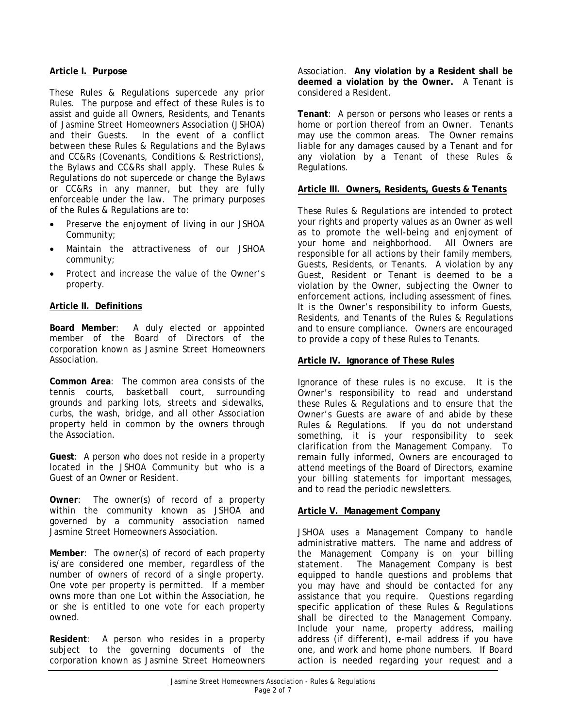# **Article I. Purpose**

These Rules & Regulations supercede any prior Rules. The purpose and effect of these Rules is to assist and guide all Owners, Residents, and Tenants of Jasmine Street Homeowners Association (JSHOA) and their Guests. In the event of a conflict between these Rules & Regulations and the Bylaws and CC&Rs (Covenants, Conditions & Restrictions), the Bylaws and CC&Rs shall apply. These Rules & Regulations do not supercede or change the Bylaws or CC&Rs in any manner, but they are fully enforceable under the law. The primary purposes of the Rules & Regulations are to:

- Preserve the enjoyment of living in our JSHOA Community;
- Maintain the attractiveness of our JSHOA community;
- Protect and increase the value of the Owner's property.

# **Article II. Definitions**

**Board Member**: A duly elected or appointed member of the Board of Directors of the corporation known as Jasmine Street Homeowners Association.

**Common Area**: The common area consists of the tennis courts, basketball court, surrounding grounds and parking lots, streets and sidewalks, curbs, the wash, bridge, and all other Association property held in common by the owners through the Association.

**Guest**: A person who does not reside in a property located in the JSHOA Community but who is a Guest of an Owner or Resident.

**Owner**: The owner(s) of record of a property within the community known as JSHOA and governed by a community association named Jasmine Street Homeowners Association.

**Member**: The owner(s) of record of each property is/are considered one member, regardless of the number of owners of record of a single property. One vote per property is permitted. If a member owns more than one Lot within the Association, he or she is entitled to one vote for each property owned.

**Resident**: A person who resides in a property subject to the governing documents of the corporation known as Jasmine Street Homeowners

Association. **Any violation by a Resident shall be deemed a violation by the Owner.** A Tenant is considered a Resident.

**Tenant**: A person or persons who leases or rents a home or portion thereof from an Owner. Tenants may use the common areas. The Owner remains liable for any damages caused by a Tenant and for any violation by a Tenant of these Rules & Regulations.

# **Article III. Owners, Residents, Guests & Tenants**

These Rules & Regulations are intended to protect your rights and property values as an Owner as well as to promote the well-being and enjoyment of your home and neighborhood. All Owners are responsible for all actions by their family members, Guests, Residents, or Tenants. A violation by any Guest, Resident or Tenant is deemed to be a violation by the Owner, subjecting the Owner to enforcement actions, including assessment of fines. It is the Owner's responsibility to inform Guests, Residents, and Tenants of the Rules & Regulations and to ensure compliance. Owners are encouraged to provide a copy of these Rules to Tenants.

# **Article IV. Ignorance of These Rules**

Ignorance of these rules is no excuse. It is the Owner's responsibility to read and understand these Rules & Regulations and to ensure that the Owner's Guests are aware of and abide by these Rules & Regulations. If you do not understand something, it is your responsibility to seek clarification from the Management Company. To remain fully informed, Owners are encouraged to attend meetings of the Board of Directors, examine your billing statements for important messages, and to read the periodic newsletters.

# **Article V. Management Company**

JSHOA uses a Management Company to handle administrative matters. The name and address of the Management Company is on your billing statement. The Management Company is best equipped to handle questions and problems that you may have and should be contacted for any assistance that you require. Questions regarding specific application of these Rules & Regulations shall be directed to the Management Company. Include your name, property address, mailing address (if different), e-mail address if you have one, and work and home phone numbers. If Board action is needed regarding your request and a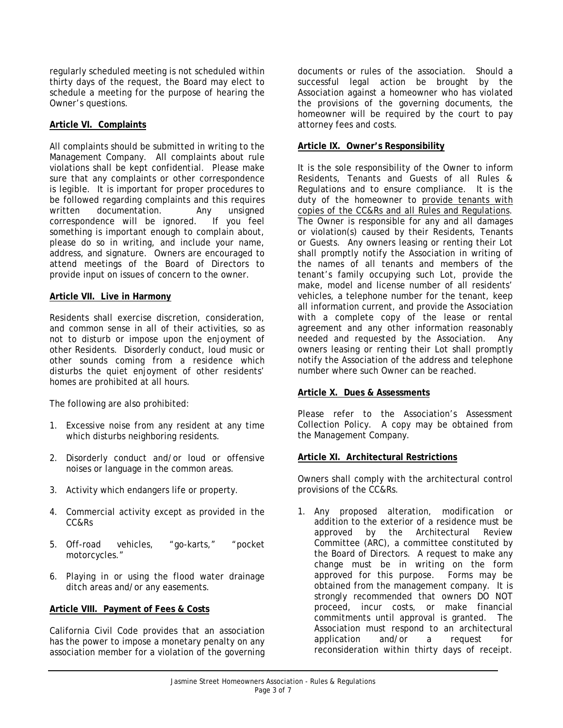regularly scheduled meeting is not scheduled within thirty days of the request, the Board may elect to schedule a meeting for the purpose of hearing the Owner's questions.

# **Article VI. Complaints**

All complaints should be submitted in writing to the Management Company. All complaints about rule violations shall be kept confidential. Please make sure that any complaints or other correspondence is legible. It is important for proper procedures to be followed regarding complaints and this requires written documentation. Any unsigned correspondence will be ignored. If you feel something is important enough to complain about, please do so in writing, and include your name, address, and signature. Owners are encouraged to attend meetings of the Board of Directors to provide input on issues of concern to the owner.

# **Article VII. Live in Harmony**

Residents shall exercise discretion, consideration, and common sense in all of their activities, so as not to disturb or impose upon the enjoyment of other Residents. Disorderly conduct, loud music or other sounds coming from a residence which disturbs the quiet enjoyment of other residents' homes are prohibited at all hours.

The following are also prohibited:

- 1. Excessive noise from any resident at any time which disturbs neighboring residents.
- 2. Disorderly conduct and/or loud or offensive noises or language in the common areas.
- 3. Activity which endangers life or property.
- 4. Commercial activity except as provided in the CC&Rs
- 5. Off-road vehicles, "go-karts," "pocket motorcycles."
- 6. Playing in or using the flood water drainage ditch areas and/or any easements.

# **Article VIII. Payment of Fees & Costs**

California Civil Code provides that an association has the power to impose a monetary penalty on any association member for a violation of the governing

documents or rules of the association. Should a successful legal action be brought by the Association against a homeowner who has violated the provisions of the governing documents, the homeowner will be required by the court to pay attorney fees and costs.

# **Article IX. Owner's Responsibility**

It is the sole responsibility of the Owner to inform Residents, Tenants and Guests of all Rules & Regulations and to ensure compliance. It is the duty of the homeowner to provide tenants with copies of the CC&Rs and all Rules and Regulations. The Owner is responsible for any and all damages or violation(s) caused by their Residents, Tenants or Guests. Any owners leasing or renting their Lot shall promptly notify the Association in writing of the names of all tenants and members of the tenant's family occupying such Lot, provide the make, model and license number of all residents' vehicles, a telephone number for the tenant, keep all information current, and provide the Association with a complete copy of the lease or rental agreement and any other information reasonably needed and requested by the Association. Any owners leasing or renting their Lot shall promptly notify the Association of the address and telephone number where such Owner can be reached.

# **Article X. Dues & Assessments**

Please refer to the Association's Assessment Collection Policy. A copy may be obtained from the Management Company.

#### **Article XI. Architectural Restrictions**

Owners shall comply with the architectural control provisions of the CC&Rs.

1. Any proposed alteration, modification or addition to the exterior of a residence must be approved by the Architectural Review Committee (ARC), a committee constituted by the Board of Directors. A request to make any change must be in writing on the form approved for this purpose. Forms may be obtained from the management company. It is strongly recommended that owners DO NOT proceed, incur costs, or make financial commitments until approval is granted. The Association must respond to an architectural application and/or a request for reconsideration within thirty days of receipt.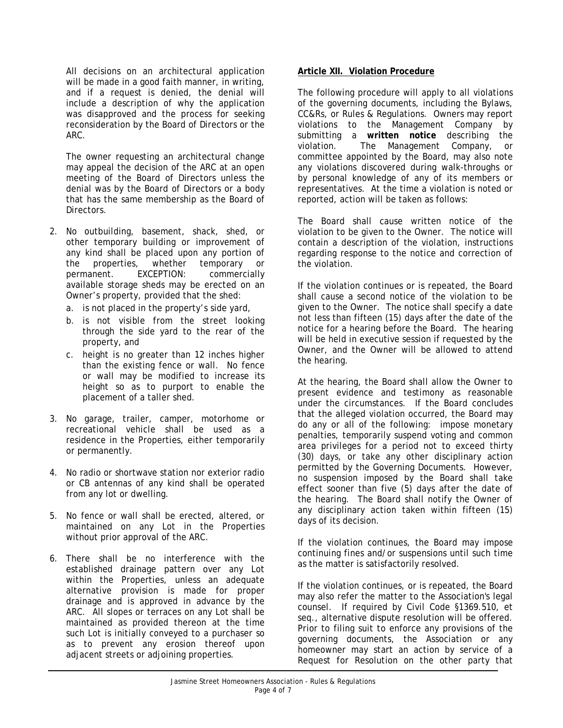All decisions on an architectural application will be made in a good faith manner, in writing, and if a request is denied, the denial will include a description of why the application was disapproved and the process for seeking reconsideration by the Board of Directors or the ARC.

The owner requesting an architectural change may appeal the decision of the ARC at an open meeting of the Board of Directors unless the denial was by the Board of Directors or a body that has the same membership as the Board of Directors.

- 2. No outbuilding, basement, shack, shed, or other temporary building or improvement of any kind shall be placed upon any portion of the properties, whether temporary or permanent. EXCEPTION: commercially available storage sheds may be erected on an Owner's property, provided that the shed:
	- a. is not placed in the property's side yard,
	- b. is not visible from the street looking through the side yard to the rear of the property, and
	- c. height is no greater than 12 inches higher than the existing fence or wall. No fence or wall may be modified to increase its height so as to purport to enable the placement of a taller shed.
- 3. No garage, trailer, camper, motorhome or recreational vehicle shall be used as a residence in the Properties, either temporarily or permanently.
- 4. No radio or shortwave station nor exterior radio or CB antennas of any kind shall be operated from any lot or dwelling.
- 5. No fence or wall shall be erected, altered, or maintained on any Lot in the Properties without prior approval of the ARC.
- 6. There shall be no interference with the established drainage pattern over any Lot within the Properties, unless an adequate alternative provision is made for proper drainage and is approved in advance by the ARC. All slopes or terraces on any Lot shall be maintained as provided thereon at the time such Lot is initially conveyed to a purchaser so as to prevent any erosion thereof upon adjacent streets or adjoining properties.

#### **Article XII. Violation Procedure**

The following procedure will apply to all violations of the governing documents, including the Bylaws, CC&Rs, or Rules & Regulations. Owners may report violations to the Management Company by submitting a **written notice** describing the violation. The Management Company, or committee appointed by the Board, may also note any violations discovered during walk-throughs or by personal knowledge of any of its members or representatives. At the time a violation is noted or reported, action will be taken as follows:

The Board shall cause written notice of the violation to be given to the Owner. The notice will contain a description of the violation, instructions regarding response to the notice and correction of the violation.

If the violation continues or is repeated, the Board shall cause a second notice of the violation to be given to the Owner. The notice shall specify a date not less than fifteen (15) days after the date of the notice for a hearing before the Board. The hearing will be held in executive session if requested by the Owner, and the Owner will be allowed to attend the hearing.

At the hearing, the Board shall allow the Owner to present evidence and testimony as reasonable under the circumstances. If the Board concludes that the alleged violation occurred, the Board may do any or all of the following: impose monetary penalties, temporarily suspend voting and common area privileges for a period not to exceed thirty (30) days, or take any other disciplinary action permitted by the Governing Documents. However, no suspension imposed by the Board shall take effect sooner than five (5) days after the date of the hearing. The Board shall notify the Owner of any disciplinary action taken within fifteen (15) days of its decision.

If the violation continues, the Board may impose continuing fines and/or suspensions until such time as the matter is satisfactorily resolved.

If the violation continues, or is repeated, the Board may also refer the matter to the Association's legal counsel. If required by Civil Code §1369.510, et seq., alternative dispute resolution will be offered. Prior to filing suit to enforce any provisions of the governing documents, the Association or any homeowner may start an action by service of a Request for Resolution on the other party that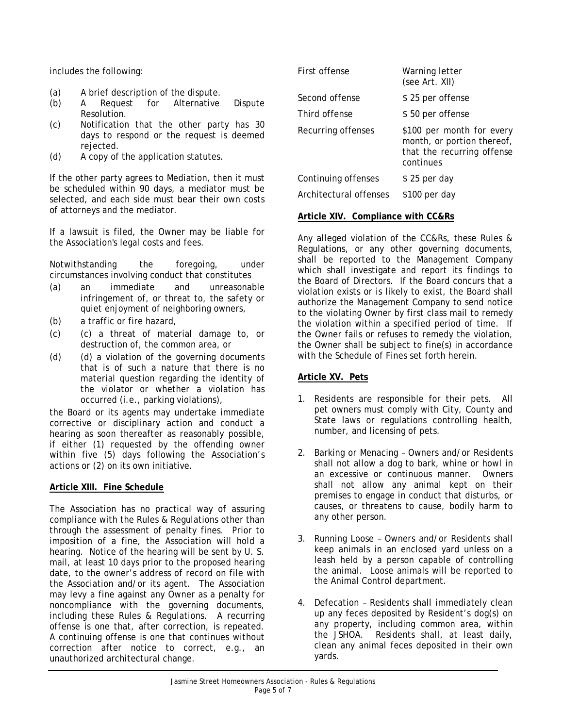includes the following:

- (a) A brief description of the dispute.
- (b) A Request for Alternative Dispute Resolution.
- (c) Notification that the other party has 30 days to respond or the request is deemed rejected.
- (d) A copy of the application statutes.

If the other party agrees to Mediation, then it must be scheduled within 90 days, a mediator must be selected, and each side must bear their own costs of attorneys and the mediator.

If a lawsuit is filed, the Owner may be liable for the Association's legal costs and fees.

Notwithstanding the foregoing, under circumstances involving conduct that constitutes

- (a) an immediate and unreasonable infringement of, or threat to, the safety or quiet enjoyment of neighboring owners,
- (b) a traffic or fire hazard,
- (c) (c) a threat of material damage to, or destruction of, the common area, or
- (d) (d) a violation of the governing documents that is of such a nature that there is no material question regarding the identity of the violator or whether a violation has occurred (i.e., parking violations),

the Board or its agents may undertake immediate corrective or disciplinary action and conduct a hearing as soon thereafter as reasonably possible, if either (1) requested by the offending owner within five (5) days following the Association's actions or (2) on its own initiative.

# **Article XIII. Fine Schedule**

The Association has no practical way of assuring compliance with the Rules & Regulations other than through the assessment of penalty fines. Prior to imposition of a fine, the Association will hold a hearing. Notice of the hearing will be sent by U. S. mail, at least 10 days prior to the proposed hearing date, to the owner's address of record on file with the Association and/or its agent. The Association may levy a fine against any Owner as a penalty for noncompliance with the governing documents, including these Rules & Regulations. A recurring offense is one that, after correction, is repeated. A continuing offense is one that continues without correction after notice to correct, e.g., an unauthorized architectural change.

| First offense          | Warning letter<br>(see Art. XII)                                                                   |
|------------------------|----------------------------------------------------------------------------------------------------|
| Second offense         | \$25 per offense                                                                                   |
| Third offense          | \$50 per offense                                                                                   |
| Recurring offenses     | \$100 per month for every<br>month, or portion thereof,<br>that the recurring offense<br>continues |
| Continuing offenses    | \$25 per day                                                                                       |
| Architectural offenses | \$100 per day                                                                                      |

# **Article XIV. Compliance with CC&Rs**

Any alleged violation of the CC&Rs, these Rules & Regulations, or any other governing documents, shall be reported to the Management Company which shall investigate and report its findings to the Board of Directors. If the Board concurs that a violation exists or is likely to exist, the Board shall authorize the Management Company to send notice to the violating Owner by first class mail to remedy the violation within a specified period of time. If the Owner fails or refuses to remedy the violation, the Owner shall be subject to fine(s) in accordance with the Schedule of Fines set forth herein.

# **Article XV. Pets**

- 1. Residents are responsible for their pets. All pet owners must comply with City, County and State laws or regulations controlling health, number, and licensing of pets.
- 2. Barking or Menacing Owners and/or Residents shall not allow a dog to bark, whine or howl in an excessive or continuous manner. Owners shall not allow any animal kept on their premises to engage in conduct that disturbs, or causes, or threatens to cause, bodily harm to any other person.
- 3. Running Loose Owners and/or Residents shall keep animals in an enclosed yard unless on a leash held by a person capable of controlling the animal. Loose animals will be reported to the Animal Control department.
- 4. Defecation Residents shall immediately clean up any feces deposited by Resident's dog(s) on any property, including common area, within the JSHOA. Residents shall, at least daily, clean any animal feces deposited in their own yards.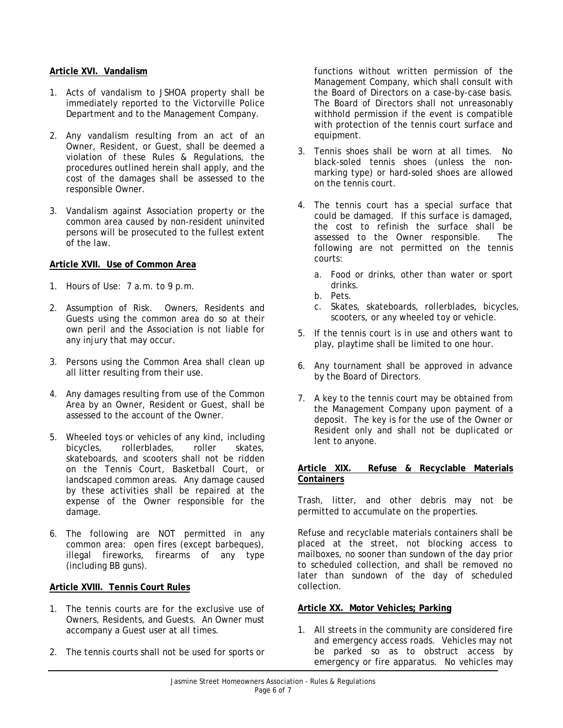# **Article XVI. Vandalism**

- 1. Acts of vandalism to JSHOA property shall be immediately reported to the Victorville Police Department and to the Management Company.
- 2. Any vandalism resulting from an act of an Owner, Resident, or Guest, shall be deemed a violation of these Rules & Regulations, the procedures outlined herein shall apply, and the cost of the damages shall be assessed to the responsible Owner.
- 3. Vandalism against Association property or the common area caused by non-resident uninvited persons will be prosecuted to the fullest extent of the law.

# **Article XVII. Use of Common Area**

- 1. Hours of Use: 7 a.m. to 9 p.m.
- 2. Assumption of Risk. Owners, Residents and Guests using the common area do so at their own peril and the Association is not liable for any injury that may occur.
- 3. Persons using the Common Area shall clean up all litter resulting from their use.
- 4. Any damages resulting from use of the Common Area by an Owner, Resident or Guest, shall be assessed to the account of the Owner.
- 5. Wheeled toys or vehicles of any kind, including bicycles, rollerblades, roller skates, skateboards, and scooters shall not be ridden on the Tennis Court, Basketball Court, or landscaped common areas. Any damage caused by these activities shall be repaired at the expense of the Owner responsible for the damage.
- 6. The following are NOT permitted in any common area: open fires (except barbeques), illegal fireworks, firearms of any type (including BB guns).

#### **Article XVIII. Tennis Court Rules**

- 1. The tennis courts are for the exclusive use of Owners, Residents, and Guests. An Owner must accompany a Guest user at all times.
- 2. The tennis courts shall not be used for sports or

functions without written permission of the Management Company, which shall consult with the Board of Directors on a case-by-case basis. The Board of Directors shall not unreasonably withhold permission if the event is compatible with protection of the tennis court surface and equipment.

- 3. Tennis shoes shall be worn at all times. No black-soled tennis shoes (unless the nonmarking type) or hard-soled shoes are allowed on the tennis court.
- 4. The tennis court has a special surface that could be damaged. If this surface is damaged, the cost to refinish the surface shall be assessed to the Owner responsible. The following are not permitted on the tennis courts:
	- a. Food or drinks, other than water or sport drinks.
	- b. Pets.
	- c. Skates, skateboards, rollerblades, bicycles, scooters, or any wheeled toy or vehicle.
- 5. If the tennis court is in use and others want to play, playtime shall be limited to one hour.
- 6. Any tournament shall be approved in advance by the Board of Directors.
- 7. A key to the tennis court may be obtained from the Management Company upon payment of a deposit. The key is for the use of the Owner or Resident only and shall not be duplicated or lent to anyone.

#### **Article XIX. Refuse & Recyclable Materials Containers**

Trash, litter, and other debris may not be permitted to accumulate on the properties.

Refuse and recyclable materials containers shall be placed at the street, not blocking access to mailboxes, no sooner than sundown of the day prior to scheduled collection, and shall be removed no later than sundown of the day of scheduled collection.

#### **Article XX. Motor Vehicles; Parking**

1. All streets in the community are considered fire and emergency access roads. Vehicles may not be parked so as to obstruct access by emergency or fire apparatus. No vehicles may